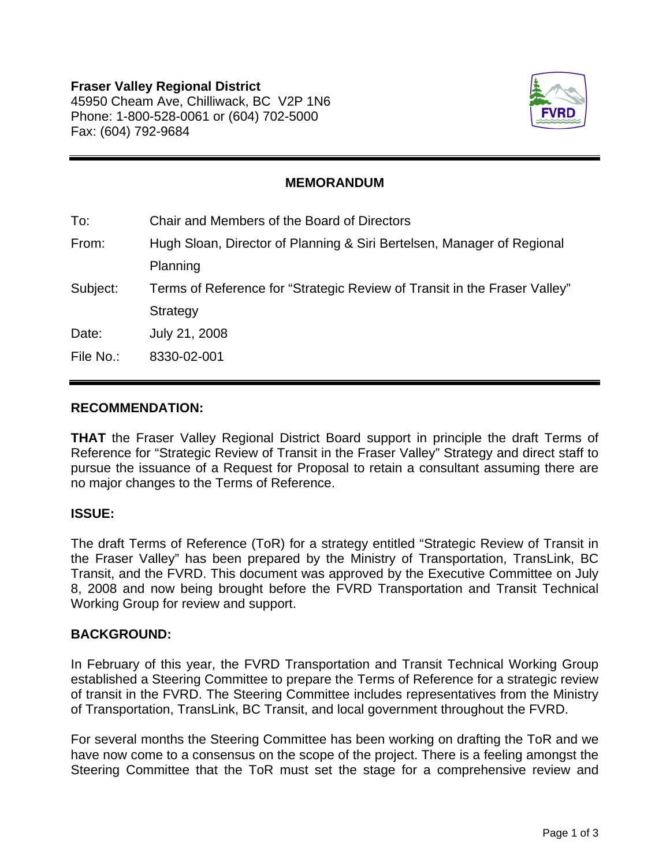

## **MEMORANDUM**

| To:       | Chair and Members of the Board of Directors                               |
|-----------|---------------------------------------------------------------------------|
| From:     | Hugh Sloan, Director of Planning & Siri Bertelsen, Manager of Regional    |
|           | Planning                                                                  |
| Subject:  | Terms of Reference for "Strategic Review of Transit in the Fraser Valley" |
|           | Strategy                                                                  |
| Date:     | July 21, 2008                                                             |
| File No.: | 8330-02-001                                                               |
|           |                                                                           |

#### **RECOMMENDATION:**

**THAT** the Fraser Valley Regional District Board support in principle the draft Terms of Reference for "Strategic Review of Transit in the Fraser Valley" Strategy and direct staff to pursue the issuance of a Request for Proposal to retain a consultant assuming there are no major changes to the Terms of Reference.

## **ISSUE:**

The draft Terms of Reference (ToR) for a strategy entitled "Strategic Review of Transit in the Fraser Valley" has been prepared by the Ministry of Transportation, TransLink, BC Transit, and the FVRD. This document was approved by the Executive Committee on July 8, 2008 and now being brought before the FVRD Transportation and Transit Technical Working Group for review and support.

#### **BACKGROUND:**

In February of this year, the FVRD Transportation and Transit Technical Working Group established a Steering Committee to prepare the Terms of Reference for a strategic review of transit in the FVRD. The Steering Committee includes representatives from the Ministry of Transportation, TransLink, BC Transit, and local government throughout the FVRD.

For several months the Steering Committee has been working on drafting the ToR and we have now come to a consensus on the scope of the project. There is a feeling amongst the Steering Committee that the ToR must set the stage for a comprehensive review and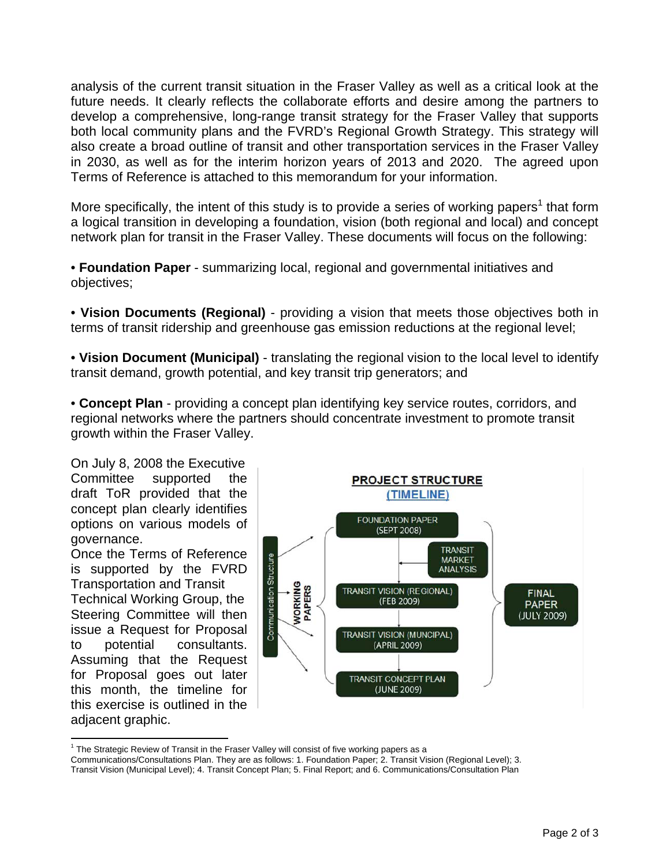analysis of the current transit situation in the Fraser Valley as well as a critical look at the future needs. It clearly reflects the collaborate efforts and desire among the partners to develop a comprehensive, long-range transit strategy for the Fraser Valley that supports both local community plans and the FVRD's Regional Growth Strategy. This strategy will also create a broad outline of transit and other transportation services in the Fraser Valley in 2030, as well as for the interim horizon years of 2013 and 2020. The agreed upon Terms of Reference is attached to this memorandum for your information.

More specifically, the intent of this study is to provide a series of working papers<sup>1</sup> that form a logical transition in developing a foundation, vision (both regional and local) and concept network plan for transit in the Fraser Valley. These documents will focus on the following:

• **Foundation Paper** - summarizing local, regional and governmental initiatives and objectives;

• **Vision Documents (Regional)** - providing a vision that meets those objectives both in terms of transit ridership and greenhouse gas emission reductions at the regional level;

• **Vision Document (Municipal)** - translating the regional vision to the local level to identify transit demand, growth potential, and key transit trip generators; and

• **Concept Plan** - providing a concept plan identifying key service routes, corridors, and regional networks where the partners should concentrate investment to promote transit growth within the Fraser Valley.

On July 8, 2008 the Executive Committee supported the draft ToR provided that the concept plan clearly identifies options on various models of governance.

Once the Terms of Reference is supported by the FVRD Transportation and Transit

Technical Working Group, the Steering Committee will then issue a Request for Proposal to potential consultants. Assuming that the Request for Proposal goes out later this month, the timeline for this exercise is outlined in the adjacent graphic.

 $\overline{a}$ 



 $1$  The Strategic Review of Transit in the Fraser Valley will consist of five working papers as a

Communications/Consultations Plan. They are as follows: 1. Foundation Paper; 2. Transit Vision (Regional Level); 3. Transit Vision (Municipal Level); 4. Transit Concept Plan; 5. Final Report; and 6. Communications/Consultation Plan